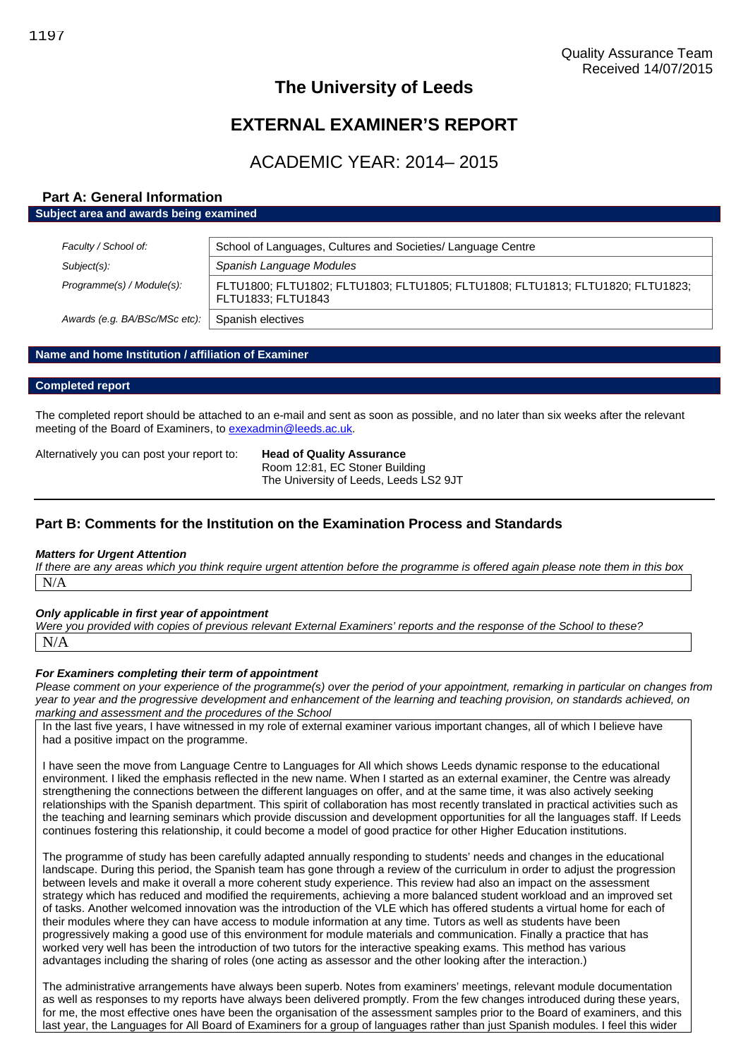## **EXTERNAL EXAMINER'S REPORT**

## ACADEMIC YEAR: 2014– 2015

#### **Part A: General Information Subject area and awards being examined**

| Faculty / School of:          | School of Languages, Cultures and Societies/ Language Centre                                          |  |
|-------------------------------|-------------------------------------------------------------------------------------------------------|--|
| Subject(s):                   | Spanish Language Modules                                                                              |  |
| Programme(s) / Module(s):     | FLTU1800; FLTU1802; FLTU1803; FLTU1805; FLTU1808; FLTU1813; FLTU1820; FLTU1823;<br>FLTU1833; FLTU1843 |  |
| Awards (e.g. BA/BSc/MSc etc): | Spanish electives                                                                                     |  |

#### **Name and home Institution / affiliation of Examiner**

#### **Completed report**

The completed report should be attached to an e-mail and sent as soon as possible, and no later than six weeks after the relevant meeting of the Board of Examiners, to [exexadmin@leeds.ac.uk](mailto:exexadmin@leeds.ac.uk).

Alternatively you can post your report to: **Head of Quality Assurance**

Room 12:81, EC Stoner Building The University of Leeds, Leeds LS2 9JT

#### **Part B: Comments for the Institution on the Examination Process and Standards**

#### *Matters for Urgent Attention*

*If there are any areas which you think require urgent attention before the programme is offered again please note them in this box* N/A

#### *Only applicable in first year of appointment*

*Were you provided with copies of previous relevant External Examiners' reports and the response of the School to these?* N/A

#### *For Examiners completing their term of appointment*

*Please comment on your experience of the programme(s) over the period of your appointment, remarking in particular on changes from year to year and the progressive development and enhancement of the learning and teaching provision, on standards achieved, on marking and assessment and the procedures of the School*

In the last five years, I have witnessed in my role of external examiner various important changes, all of which I believe have had a positive impact on the programme.

I have seen the move from Language Centre to Languages for All which shows Leeds dynamic response to the educational environment. I liked the emphasis reflected in the new name. When I started as an external examiner, the Centre was already strengthening the connections between the different languages on offer, and at the same time, it was also actively seeking relationships with the Spanish department. This spirit of collaboration has most recently translated in practical activities such as the teaching and learning seminars which provide discussion and development opportunities for all the languages staff. If Leeds continues fostering this relationship, it could become a model of good practice for other Higher Education institutions.

The programme of study has been carefully adapted annually responding to students' needs and changes in the educational landscape. During this period, the Spanish team has gone through a review of the curriculum in order to adjust the progression between levels and make it overall a more coherent study experience. This review had also an impact on the assessment strategy which has reduced and modified the requirements, achieving a more balanced student workload and an improved set of tasks. Another welcomed innovation was the introduction of the VLE which has offered students a virtual home for each of their modules where they can have access to module information at any time. Tutors as well as students have been progressively making a good use of this environment for module materials and communication. Finally a practice that has worked very well has been the introduction of two tutors for the interactive speaking exams. This method has various advantages including the sharing of roles (one acting as assessor and the other looking after the interaction.)

The administrative arrangements have always been superb. Notes from examiners' meetings, relevant module documentation as well as responses to my reports have always been delivered promptly. From the few changes introduced during these years, for me, the most effective ones have been the organisation of the assessment samples prior to the Board of examiners, and this last year, the Languages for All Board of Examiners for a group of languages rather than just Spanish modules. I feel this wider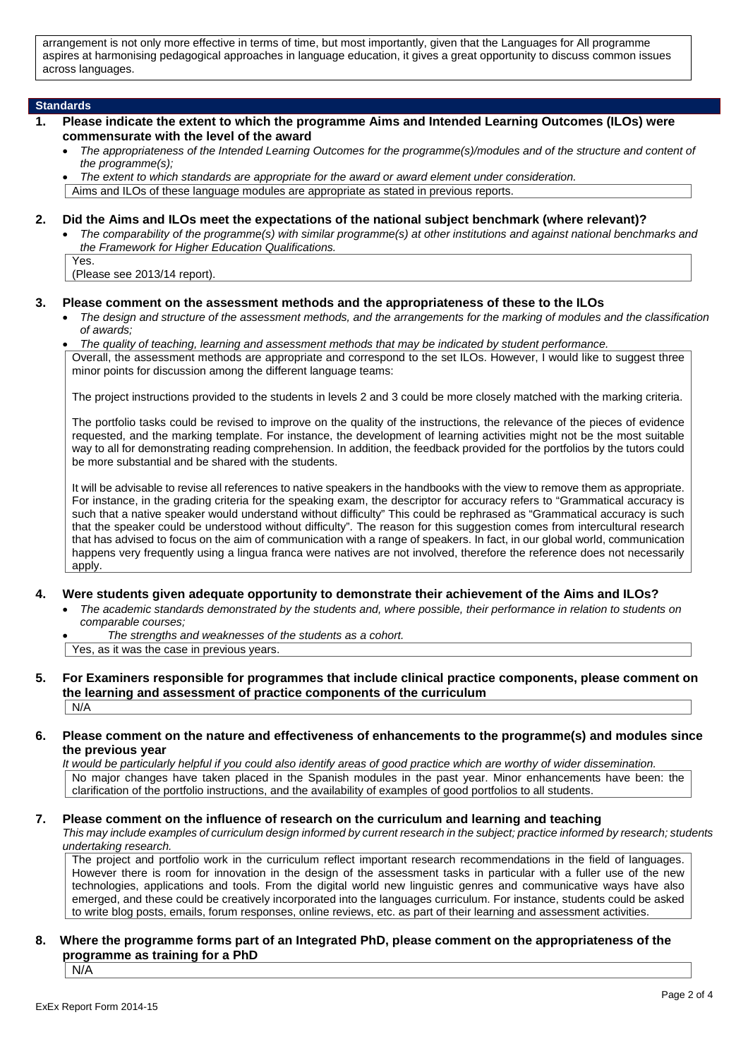arrangement is not only more effective in terms of time, but most importantly, given that the Languages for All programme aspires at harmonising pedagogical approaches in language education, it gives a great opportunity to discuss common issues across languages.

#### **Standards**

Yes.

- **1. Please indicate the extent to which the programme Aims and Intended Learning Outcomes (ILOs) were commensurate with the level of the award**
	- *The appropriateness of the Intended Learning Outcomes for the programme(s)/modules and of the structure and content of the programme(s);*
	- *The extent to which standards are appropriate for the award or award element under consideration.*

Aims and ILOs of these language modules are appropriate as stated in previous reports.

#### **2. Did the Aims and ILOs meet the expectations of the national subject benchmark (where relevant)?**

 *The comparability of the programme(s) with similar programme(s) at other institutions and against national benchmarks and the Framework for Higher Education Qualifications.*

(Please see 2013/14 report).

#### **3. Please comment on the assessment methods and the appropriateness of these to the ILOs**

- *The design and structure of the assessment methods, and the arrangements for the marking of modules and the classification of awards;*
- *The quality of teaching, learning and assessment methods that may be indicated by student performance.*

Overall, the assessment methods are appropriate and correspond to the set ILOs. However, I would like to suggest three minor points for discussion among the different language teams:

The project instructions provided to the students in levels 2 and 3 could be more closely matched with the marking criteria.

The portfolio tasks could be revised to improve on the quality of the instructions, the relevance of the pieces of evidence requested, and the marking template. For instance, the development of learning activities might not be the most suitable way to all for demonstrating reading comprehension. In addition, the feedback provided for the portfolios by the tutors could be more substantial and be shared with the students.

It will be advisable to revise all references to native speakers in the handbooks with the view to remove them as appropriate. For instance, in the grading criteria for the speaking exam, the descriptor for accuracy refers to "Grammatical accuracy is such that a native speaker would understand without difficulty" This could be rephrased as "Grammatical accuracy is such that the speaker could be understood without difficulty". The reason for this suggestion comes from intercultural research that has advised to focus on the aim of communication with a range of speakers. In fact, in our global world, communication happens very frequently using a lingua franca were natives are not involved, therefore the reference does not necessarily apply.

- **4. Were students given adequate opportunity to demonstrate their achievement of the Aims and ILOs?**
	- *The academic standards demonstrated by the students and, where possible, their performance in relation to students on comparable courses;*

 *The strengths and weaknesses of the students as a cohort.* Yes, as it was the case in previous years.

**5. For Examiners responsible for programmes that include clinical practice components, please comment on the learning and assessment of practice components of the curriculum** N/A

#### **6. Please comment on the nature and effectiveness of enhancements to the programme(s) and modules since the previous year**

*It would be particularly helpful if you could also identify areas of good practice which are worthy of wider dissemination.* No major changes have taken placed in the Spanish modules in the past year. Minor enhancements have been: the clarification of the portfolio instructions, and the availability of examples of good portfolios to all students.

**7. Please comment on the influence of research on the curriculum and learning and teaching**

*This may include examples of curriculum design informed by current research in the subject; practice informed by research; students undertaking research.*

The project and portfolio work in the curriculum reflect important research recommendations in the field of languages. However there is room for innovation in the design of the assessment tasks in particular with a fuller use of the new technologies, applications and tools. From the digital world new linguistic genres and communicative ways have also emerged, and these could be creatively incorporated into the languages curriculum. For instance, students could be asked to write blog posts, emails, forum responses, online reviews, etc. as part of their learning and assessment activities.

#### **8. Where the programme forms part of an Integrated PhD, please comment on the appropriateness of the programme as training for a PhD**

N/A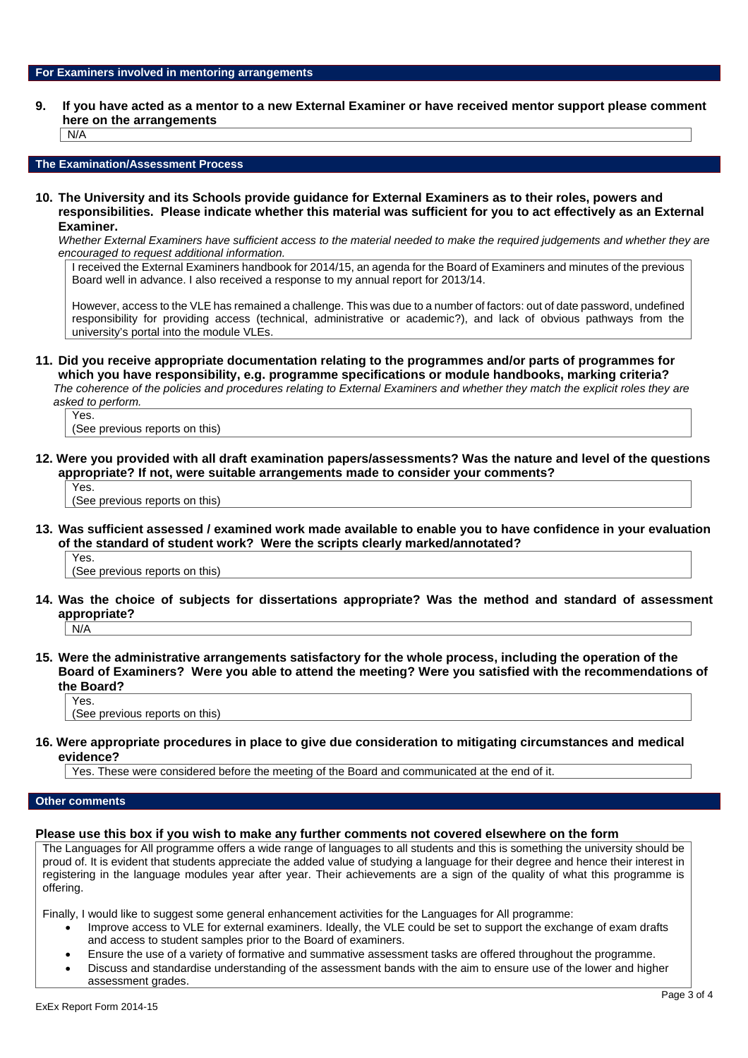**9. If you have acted as a mentor to a new External Examiner or have received mentor support please comment here on the arrangements**

 $N/A$ 

#### **The Examination/Assessment Process**

**10. The University and its Schools provide guidance for External Examiners as to their roles, powers and responsibilities. Please indicate whether this material was sufficient for you to act effectively as an External Examiner.**

*Whether External Examiners have sufficient access to the material needed to make the required judgements and whether they are encouraged to request additional information.*

I received the External Examiners handbook for 2014/15, an agenda for the Board of Examiners and minutes of the previous Board well in advance. I also received a response to my annual report for 2013/14.

However, access to the VLE has remained a challenge. This was due to a number of factors: out of date password, undefined responsibility for providing access (technical, administrative or academic?), and lack of obvious pathways from the university's portal into the module VLEs.

**11. Did you receive appropriate documentation relating to the programmes and/or parts of programmes for which you have responsibility, e.g. programme specifications or module handbooks, marking criteria?** *The coherence of the policies and procedures relating to External Examiners and whether they match the explicit roles they are*

*asked to perform.*

Yes. (See previous reports on this)

**12. Were you provided with all draft examination papers/assessments? Was the nature and level of the questions appropriate? If not, were suitable arrangements made to consider your comments?**

Yes. (See previous reports on this)

**13. Was sufficient assessed / examined work made available to enable you to have confidence in your evaluation of the standard of student work? Were the scripts clearly marked/annotated?**

Yes. (See previous reports on this)

- **14. Was the choice of subjects for dissertations appropriate? Was the method and standard of assessment appropriate?**  $N/A$
- **15. Were the administrative arrangements satisfactory for the whole process, including the operation of the Board of Examiners? Were you able to attend the meeting? Were you satisfied with the recommendations of the Board?** Yes.

(See previous reports on this)

**16. Were appropriate procedures in place to give due consideration to mitigating circumstances and medical evidence?**

Yes. These were considered before the meeting of the Board and communicated at the end of it.

#### **Other comments**

#### **Please use this box if you wish to make any further comments not covered elsewhere on the form**

The Languages for All programme offers a wide range of languages to all students and this is something the university should be proud of. It is evident that students appreciate the added value of studying a language for their degree and hence their interest in registering in the language modules year after year. Their achievements are a sign of the quality of what this programme is offering.

Finally, I would like to suggest some general enhancement activities for the Languages for All programme:

- Improve access to VLE for external examiners. Ideally, the VLE could be set to support the exchange of exam drafts and access to student samples prior to the Board of examiners.
- Ensure the use of a variety of formative and summative assessment tasks are offered throughout the programme.
- Discuss and standardise understanding of the assessment bands with the aim to ensure use of the lower and higher assessment grades.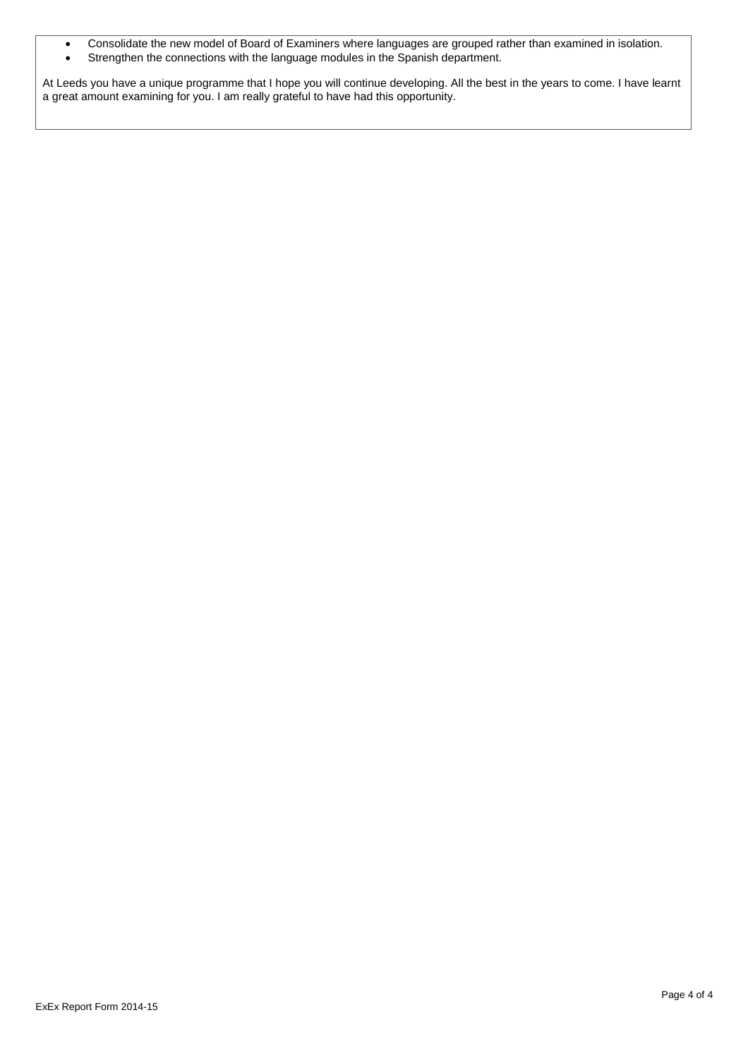- Consolidate the new model of Board of Examiners where languages are grouped rather than examined in isolation.
- Strengthen the connections with the language modules in the Spanish department.

At Leeds you have a unique programme that I hope you will continue developing. All the best in the years to come. I have learnt a great amount examining for you. I am really grateful to have had this opportunity.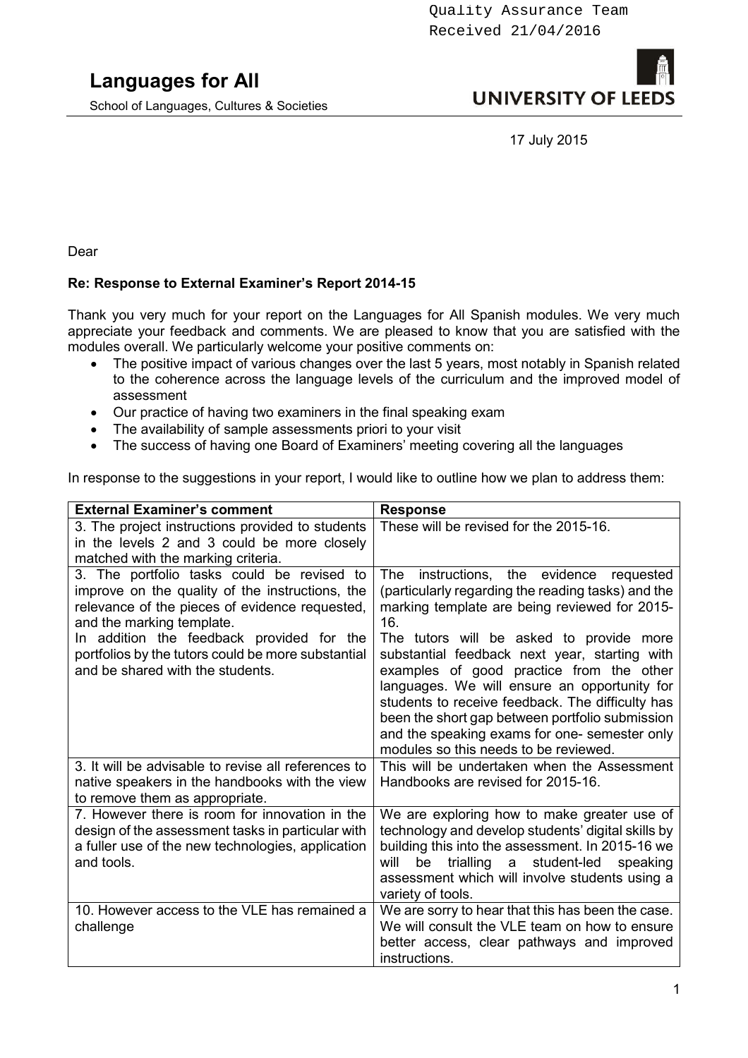School of Languages, Cultures & Societies

## **UNIVERSITY OF LEED**

17 July 2015

Dear

#### **Re: Response to External Examiner's Report 2014-15**

Thank you very much for your report on the Languages for All Spanish modules. We very much appreciate your feedback and comments. We are pleased to know that you are satisfied with the modules overall. We particularly welcome your positive comments on:

- The positive impact of various changes over the last 5 years, most notably in Spanish related to the coherence across the language levels of the curriculum and the improved model of assessment
- Our practice of having two examiners in the final speaking exam
- The availability of sample assessments priori to your visit
- The success of having one Board of Examiners' meeting covering all the languages

In response to the suggestions in your report, I would like to outline how we plan to address them:

| <b>External Examiner's comment</b>                                                                                                                                                                                                                                                                                  | <b>Response</b>                                                                                                                                                                                                                                                                                                                                                                                                                                                                                                                                              |
|---------------------------------------------------------------------------------------------------------------------------------------------------------------------------------------------------------------------------------------------------------------------------------------------------------------------|--------------------------------------------------------------------------------------------------------------------------------------------------------------------------------------------------------------------------------------------------------------------------------------------------------------------------------------------------------------------------------------------------------------------------------------------------------------------------------------------------------------------------------------------------------------|
| 3. The project instructions provided to students<br>in the levels 2 and 3 could be more closely<br>matched with the marking criteria.                                                                                                                                                                               | These will be revised for the 2015-16.                                                                                                                                                                                                                                                                                                                                                                                                                                                                                                                       |
| 3. The portfolio tasks could be revised to<br>improve on the quality of the instructions, the<br>relevance of the pieces of evidence requested,<br>and the marking template.<br>In addition the feedback provided for the<br>portfolios by the tutors could be more substantial<br>and be shared with the students. | instructions,<br>evidence<br>The<br>the<br>requested<br>(particularly regarding the reading tasks) and the<br>marking template are being reviewed for 2015-<br>16.<br>The tutors will be asked to provide more<br>substantial feedback next year, starting with<br>examples of good practice from the other<br>languages. We will ensure an opportunity for<br>students to receive feedback. The difficulty has<br>been the short gap between portfolio submission<br>and the speaking exams for one- semester only<br>modules so this needs to be reviewed. |
| 3. It will be advisable to revise all references to<br>native speakers in the handbooks with the view<br>to remove them as appropriate.                                                                                                                                                                             | This will be undertaken when the Assessment<br>Handbooks are revised for 2015-16.                                                                                                                                                                                                                                                                                                                                                                                                                                                                            |
| 7. However there is room for innovation in the<br>design of the assessment tasks in particular with<br>a fuller use of the new technologies, application<br>and tools.                                                                                                                                              | We are exploring how to make greater use of<br>technology and develop students' digital skills by<br>building this into the assessment. In 2015-16 we<br>trialling a<br>student-led<br>will<br>be<br>speaking<br>assessment which will involve students using a<br>variety of tools.                                                                                                                                                                                                                                                                         |
| 10. However access to the VLE has remained a<br>challenge                                                                                                                                                                                                                                                           | We are sorry to hear that this has been the case.<br>We will consult the VLE team on how to ensure<br>better access, clear pathways and improved<br>instructions.                                                                                                                                                                                                                                                                                                                                                                                            |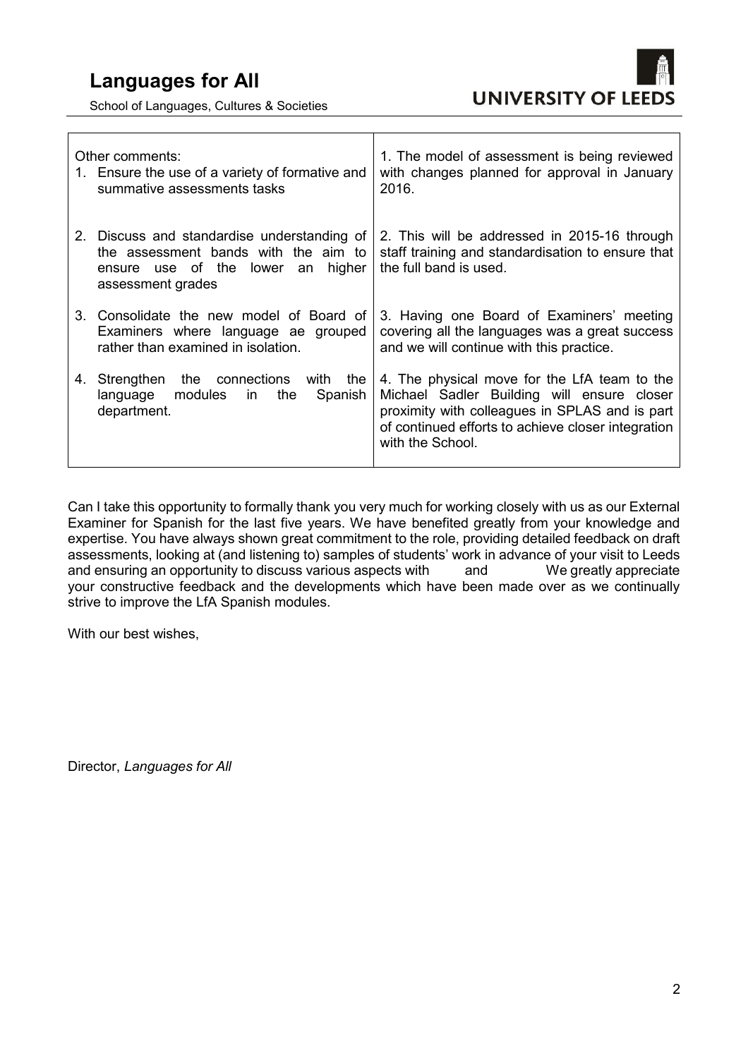School of Languages, Cultures & Societies



| Other comments:<br>1. Ensure the use of a variety of formative and<br>summative assessments tasks                                                | 1. The model of assessment is being reviewed<br>with changes planned for approval in January<br>2016.                                                                                                                  |
|--------------------------------------------------------------------------------------------------------------------------------------------------|------------------------------------------------------------------------------------------------------------------------------------------------------------------------------------------------------------------------|
| 2. Discuss and standardise understanding of<br>the assessment bands with the aim to<br>higher<br>ensure use of the lower an<br>assessment grades | 2. This will be addressed in 2015-16 through<br>staff training and standardisation to ensure that<br>the full band is used.                                                                                            |
| 3. Consolidate the new model of Board of<br>Examiners where language ae grouped<br>rather than examined in isolation.                            | 3. Having one Board of Examiners' meeting<br>covering all the languages was a great success<br>and we will continue with this practice.                                                                                |
| 4. Strengthen the connections with the<br>language modules<br>the<br>Spanish<br>in<br>department.                                                | 4. The physical move for the LfA team to the<br>Michael Sadler Building will ensure closer<br>proximity with colleagues in SPLAS and is part<br>of continued efforts to achieve closer integration<br>with the School. |

Can I take this opportunity to formally thank you very much for working closely with us as our External Examiner for Spanish for the last five years. We have benefited greatly from your knowledge and expertise. You have always shown great commitment to the role, providing detailed feedback on draft assessments, looking at (and listening to) samples of students' work in advance of your visit to Leeds and ensuring an opportunity to discuss various aspects with and We greatly appreciate your constructive feedback and the developments which have been made over as we continually strive to improve the LfA Spanish modules.

With our best wishes,

Director, *Languages for All*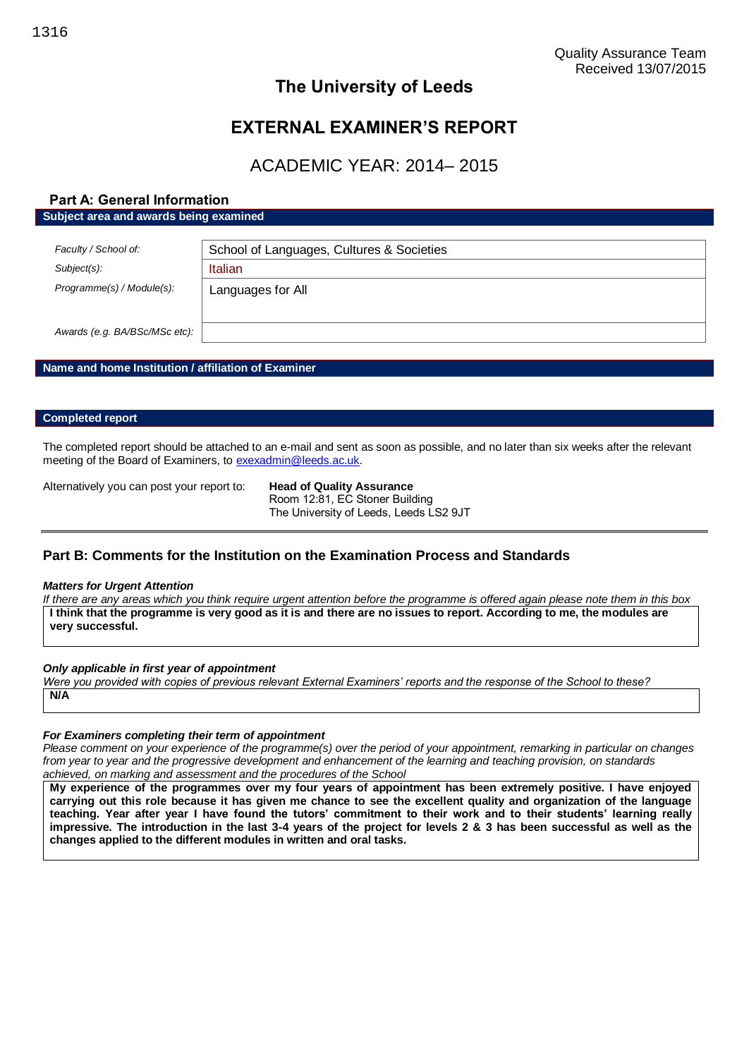## **EXTERNAL EXAMINER'S REPORT**

## ACADEMIC YEAR: 2014– 2015

### **Part A: General Information**

**Subject area and awards being examined**

| Faculty / School of:          | School of Languages, Cultures & Societies |  |
|-------------------------------|-------------------------------------------|--|
| $Subject(s)$ :                | Italian                                   |  |
| Programme(s) / Module(s):     | Languages for All                         |  |
|                               |                                           |  |
| Awards (e.g. BA/BSc/MSc etc): |                                           |  |

#### **Name and home Institution / affiliation of Examiner**

#### **Completed report**

The completed report should be attached to an e-mail and sent as soon as possible, and no later than six weeks after the relevant meeting of the Board of Examiners, t[o exexadmin@leeds.ac.uk.](mailto:exexadmin@leeds.ac.uk)

Alternatively you can post your report to: **Head of Quality Assurance**

Room 12:81, EC Stoner Building The University of Leeds, Leeds LS2 9JT

#### **Part B: Comments for the Institution on the Examination Process and Standards**

#### *Matters for Urgent Attention*

*If there are any areas which you think require urgent attention before the programme is offered again please note them in this box* **I think that the programme is very good as it is and there are no issues to report. According to me, the modules are very successful.**

#### *Only applicable in first year of appointment*

*Were you provided with copies of previous relevant External Examiners' reports and the response of the School to these?*  **N/A**

#### *For Examiners completing their term of appointment*

*Please comment on your experience of the programme(s) over the period of your appointment, remarking in particular on changes from year to year and the progressive development and enhancement of the learning and teaching provision, on standards achieved, on marking and assessment and the procedures of the School*

**My experience of the programmes over my four years of appointment has been extremely positive. I have enjoyed carrying out this role because it has given me chance to see the excellent quality and organization of the language teaching. Year after year I have found the tutors' commitment to their work and to their students' learning really impressive. The introduction in the last 3-4 years of the project for levels 2 & 3 has been successful as well as the changes applied to the different modules in written and oral tasks.**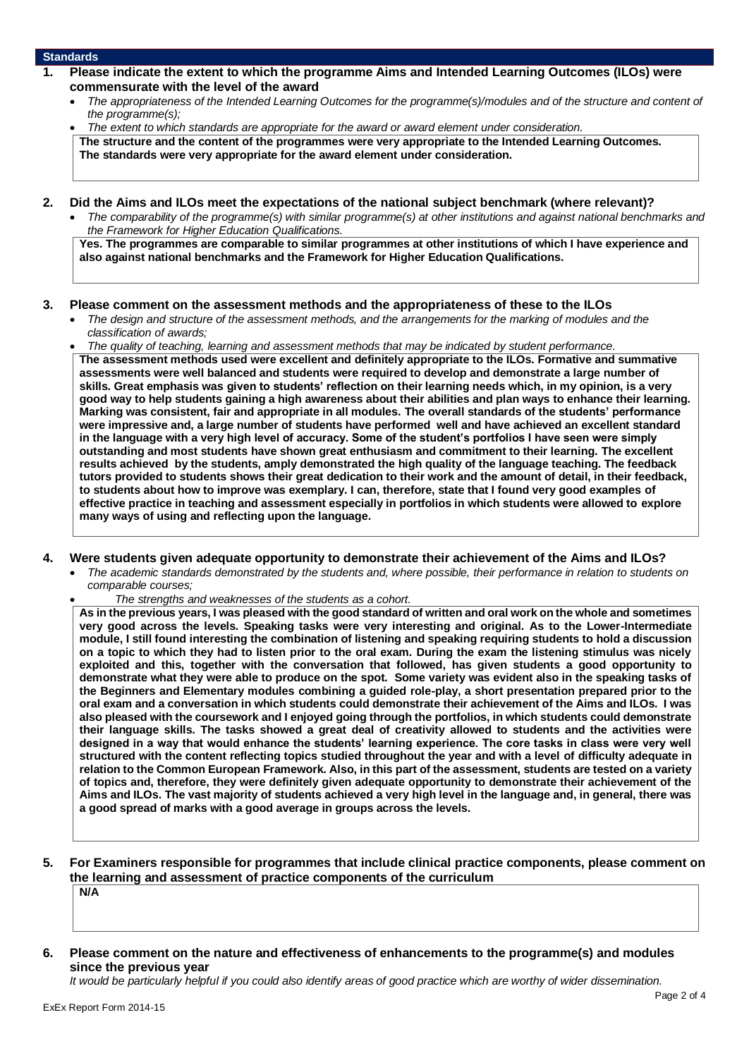#### **Standards**

- **1. Please indicate the extent to which the programme Aims and Intended Learning Outcomes (ILOs) were commensurate with the level of the award**
	- *The appropriateness of the Intended Learning Outcomes for the programme(s)/modules and of the structure and content of the programme(s);*
	- *The extent to which standards are appropriate for the award or award element under consideration.* **The structure and the content of the programmes were very appropriate to the Intended Learning Outcomes. The standards were very appropriate for the award element under consideration.**
- **2. Did the Aims and ILOs meet the expectations of the national subject benchmark (where relevant)?**
	- *The comparability of the programme(s) with similar programme(s) at other institutions and against national benchmarks and the Framework for Higher Education Qualifications.*

**Yes. The programmes are comparable to similar programmes at other institutions of which I have experience and also against national benchmarks and the Framework for Higher Education Qualifications.**

#### **3. Please comment on the assessment methods and the appropriateness of these to the ILOs**

- *The design and structure of the assessment methods, and the arrangements for the marking of modules and the classification of awards;*
- *The quality of teaching, learning and assessment methods that may be indicated by student performance.* **The assessment methods used were excellent and definitely appropriate to the ILOs. Formative and summative assessments were well balanced and students were required to develop and demonstrate a large number of skills. Great emphasis was given to students' reflection on their learning needs which, in my opinion, is a very good way to help students gaining a high awareness about their abilities and plan ways to enhance their learning. Marking was consistent, fair and appropriate in all modules. The overall standards of the students' performance were impressive and, a large number of students have performed well and have achieved an excellent standard in the language with a very high level of accuracy. Some of the student's portfolios I have seen were simply outstanding and most students have shown great enthusiasm and commitment to their learning. The excellent results achieved by the students, amply demonstrated the high quality of the language teaching. The feedback tutors provided to students shows their great dedication to their work and the amount of detail, in their feedback, to students about how to improve was exemplary. I can, therefore, state that I found very good examples of effective practice in teaching and assessment especially in portfolios in which students were allowed to explore many ways of using and reflecting upon the language.**

#### **4. Were students given adequate opportunity to demonstrate their achievement of the Aims and ILOs?**

- *The academic standards demonstrated by the students and, where possible, their performance in relation to students on comparable courses;* 
	- *The strengths and weaknesses of the students as a cohort.*

**As in the previous years, I was pleased with the good standard of written and oral work on the whole and sometimes very good across the levels. Speaking tasks were very interesting and original. As to the Lower-Intermediate module, I still found interesting the combination of listening and speaking requiring students to hold a discussion on a topic to which they had to listen prior to the oral exam. During the exam the listening stimulus was nicely exploited and this, together with the conversation that followed, has given students a good opportunity to demonstrate what they were able to produce on the spot. Some variety was evident also in the speaking tasks of the Beginners and Elementary modules combining a guided role-play, a short presentation prepared prior to the oral exam and a conversation in which students could demonstrate their achievement of the Aims and ILOs. I was also pleased with the coursework and I enjoyed going through the portfolios, in which students could demonstrate their language skills. The tasks showed a great deal of creativity allowed to students and the activities were designed in a way that would enhance the students' learning experience. The core tasks in class were very well structured with the content reflecting topics studied throughout the year and with a level of difficulty adequate in relation to the Common European Framework. Also, in this part of the assessment, students are tested on a variety of topics and, therefore, they were definitely given adequate opportunity to demonstrate their achievement of the Aims and ILOs. The vast majority of students achieved a very high level in the language and, in general, there was a good spread of marks with a good average in groups across the levels.**

#### **5. For Examiners responsible for programmes that include clinical practice components, please comment on the learning and assessment of practice components of the curriculum**

**N/A**

**6. Please comment on the nature and effectiveness of enhancements to the programme(s) and modules since the previous year**

*It would be particularly helpful if you could also identify areas of good practice which are worthy of wider dissemination.*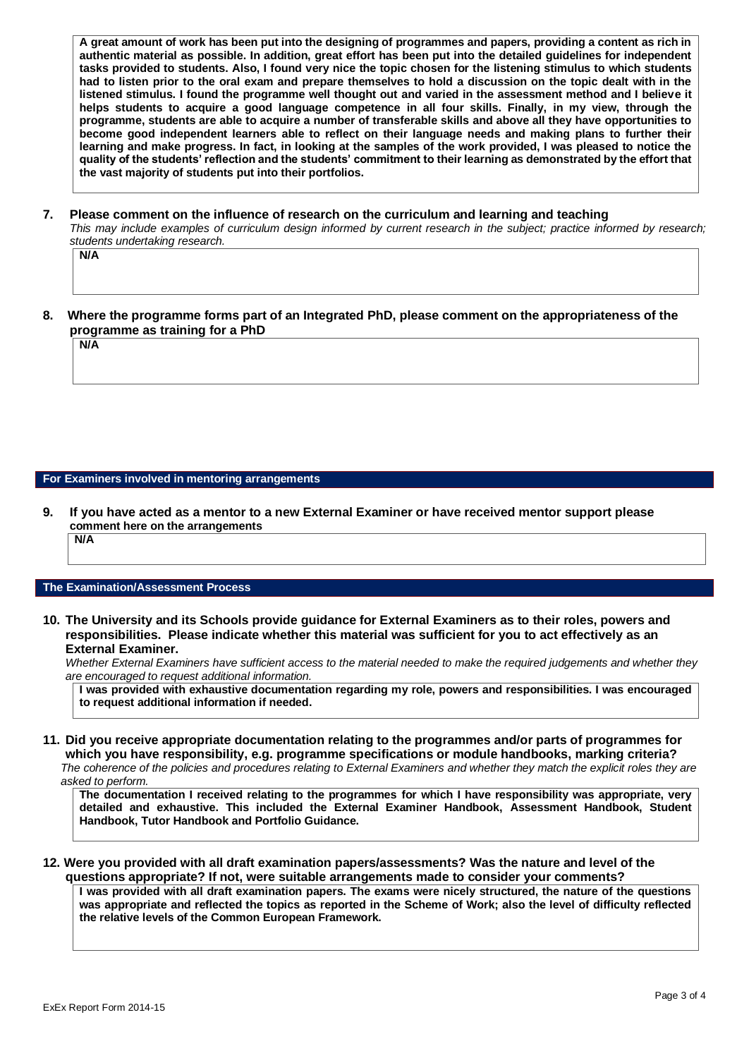**A great amount of work has been put into the designing of programmes and papers, providing a content as rich in authentic material as possible. In addition, great effort has been put into the detailed guidelines for independent tasks provided to students. Also, I found very nice the topic chosen for the listening stimulus to which students had to listen prior to the oral exam and prepare themselves to hold a discussion on the topic dealt with in the listened stimulus. I found the programme well thought out and varied in the assessment method and I believe it helps students to acquire a good language competence in all four skills. Finally, in my view, through the programme, students are able to acquire a number of transferable skills and above all they have opportunities to become good independent learners able to reflect on their language needs and making plans to further their learning and make progress. In fact, in looking at the samples of the work provided, I was pleased to notice the quality of the students' reflection and the students' commitment to their learning as demonstrated by the effort that the vast majority of students put into their portfolios.**

**7. Please comment on the influence of research on the curriculum and learning and teaching** *This may include examples of curriculum design informed by current research in the subject; practice informed by research; students undertaking research.* 

**N/A**

**N/A**

**8. Where the programme forms part of an Integrated PhD, please comment on the appropriateness of the programme as training for a PhD**

**For Examiners involved in mentoring arrangements**

**9. If you have acted as a mentor to a new External Examiner or have received mentor support please comment here on the arrangements**

**N/A**

#### **The Examination/Assessment Process**

**10. The University and its Schools provide guidance for External Examiners as to their roles, powers and responsibilities. Please indicate whether this material was sufficient for you to act effectively as an External Examiner.**

*Whether External Examiners have sufficient access to the material needed to make the required judgements and whether they are encouraged to request additional information.*

**I was provided with exhaustive documentation regarding my role, powers and responsibilities. I was encouraged to request additional information if needed.**

**11. Did you receive appropriate documentation relating to the programmes and/or parts of programmes for which you have responsibility, e.g. programme specifications or module handbooks, marking criteria?**

*The coherence of the policies and procedures relating to External Examiners and whether they match the explicit roles they are asked to perform.* 

**The documentation I received relating to the programmes for which I have responsibility was appropriate, very detailed and exhaustive. This included the External Examiner Handbook, Assessment Handbook, Student Handbook, Tutor Handbook and Portfolio Guidance.**

**12. Were you provided with all draft examination papers/assessments? Was the nature and level of the questions appropriate? If not, were suitable arrangements made to consider your comments?**

**I was provided with all draft examination papers. The exams were nicely structured, the nature of the questions was appropriate and reflected the topics as reported in the Scheme of Work; also the level of difficulty reflected the relative levels of the Common European Framework.**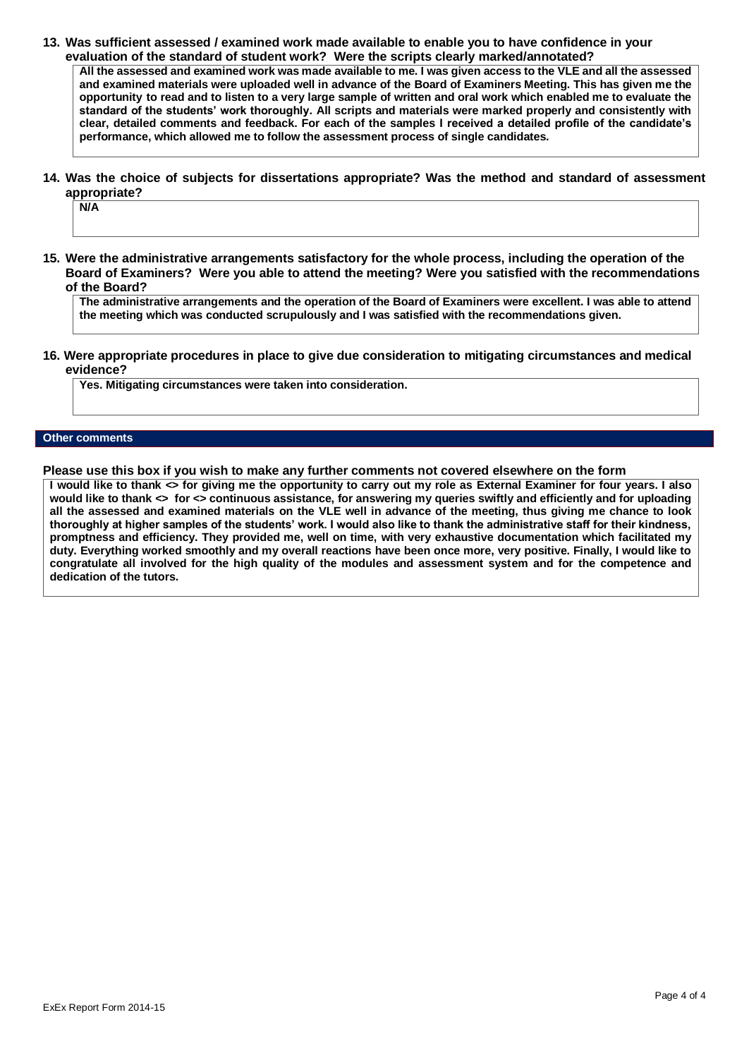**13. Was sufficient assessed / examined work made available to enable you to have confidence in your evaluation of the standard of student work? Were the scripts clearly marked/annotated?** 

**All the assessed and examined work was made available to me. I was given access to the VLE and all the assessed and examined materials were uploaded well in advance of the Board of Examiners Meeting. This has given me the opportunity to read and to listen to a very large sample of written and oral work which enabled me to evaluate the standard of the students' work thoroughly. All scripts and materials were marked properly and consistently with clear, detailed comments and feedback. For each of the samples I received a detailed profile of the candidate's performance, which allowed me to follow the assessment process of single candidates.** 

**14. Was the choice of subjects for dissertations appropriate? Was the method and standard of assessment appropriate?**

**N/A**

**15. Were the administrative arrangements satisfactory for the whole process, including the operation of the Board of Examiners? Were you able to attend the meeting? Were you satisfied with the recommendations of the Board?**

**The administrative arrangements and the operation of the Board of Examiners were excellent. I was able to attend the meeting which was conducted scrupulously and I was satisfied with the recommendations given.**

**16. Were appropriate procedures in place to give due consideration to mitigating circumstances and medical evidence?**

**Yes. Mitigating circumstances were taken into consideration.**

#### **Other comments**

**Please use this box if you wish to make any further comments not covered elsewhere on the form**

**I would like to thank <> for giving me the opportunity to carry out my role as External Examiner for four years. I also would like to thank <> for <> continuous assistance, for answering my queries swiftly and efficiently and for uploading all the assessed and examined materials on the VLE well in advance of the meeting, thus giving me chance to look thoroughly at higher samples of the students' work. I would also like to thank the administrative staff for their kindness, promptness and efficiency. They provided me, well on time, with very exhaustive documentation which facilitated my duty. Everything worked smoothly and my overall reactions have been once more, very positive. Finally, I would like to congratulate all involved for the high quality of the modules and assessment system and for the competence and dedication of the tutors.**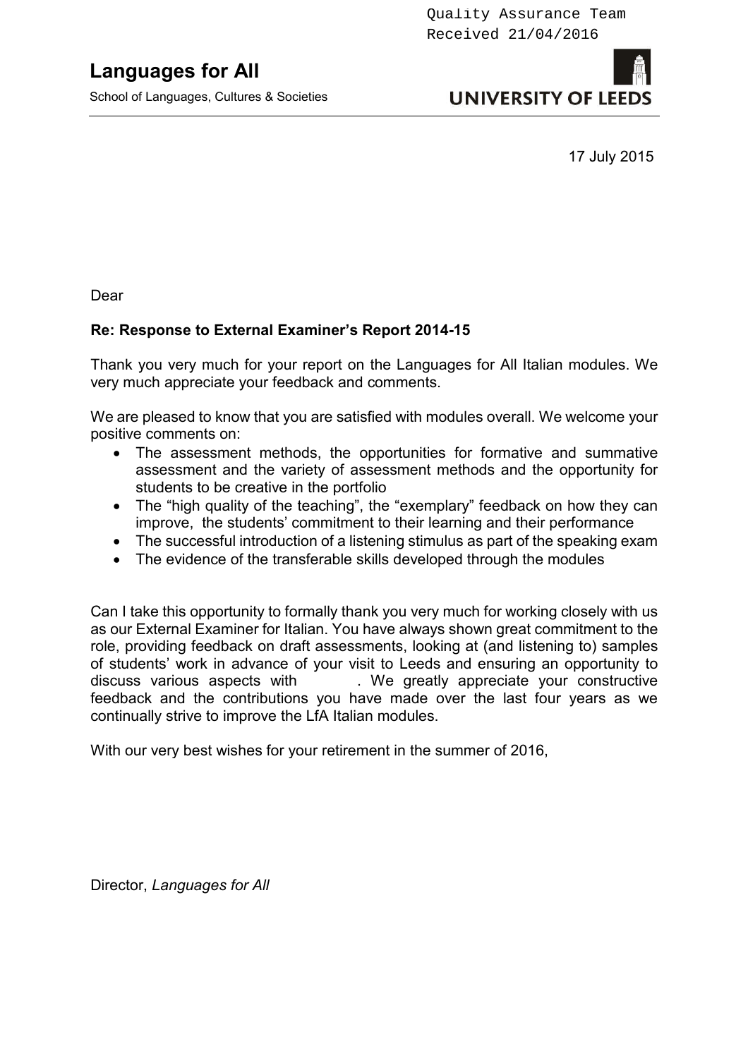School of Languages, Cultures & Societies

# **UNIVERSITY OF LEED**

17 July 2015

Dear

## **Re: Response to External Examiner's Report 2014-15**

Thank you very much for your report on the Languages for All Italian modules. We very much appreciate your feedback and comments.

We are pleased to know that you are satisfied with modules overall. We welcome your positive comments on:

- The assessment methods, the opportunities for formative and summative assessment and the variety of assessment methods and the opportunity for students to be creative in the portfolio
- The "high quality of the teaching", the "exemplary" feedback on how they can improve, the students' commitment to their learning and their performance
- The successful introduction of a listening stimulus as part of the speaking exam
- The evidence of the transferable skills developed through the modules

Can I take this opportunity to formally thank you very much for working closely with us as our External Examiner for Italian. You have always shown great commitment to the role, providing feedback on draft assessments, looking at (and listening to) samples of students' work in advance of your visit to Leeds and ensuring an opportunity to discuss various aspects with . We greatly appreciate your constructive feedback and the contributions you have made over the last four years as we continually strive to improve the LfA Italian modules.

With our very best wishes for your retirement in the summer of 2016,

Director, *Languages for All*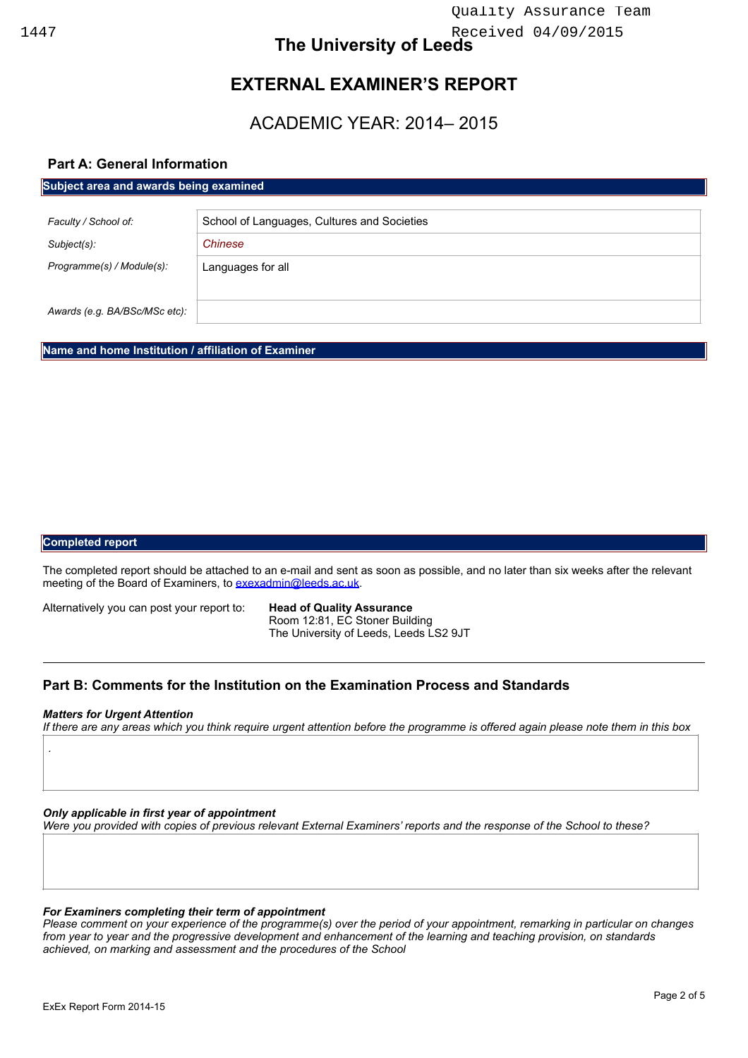## **EXTERNAL EXAMINER'S REPORT**

## ACADEMIC YEAR: 2014– 2015

#### **Part A: General Information**

| Subject area and awards being examined |                                             |
|----------------------------------------|---------------------------------------------|
|                                        |                                             |
| Faculty / School of:                   | School of Languages, Cultures and Societies |
| Subject(s):                            | Chinese                                     |
| Programme(s) / Module(s):              | Languages for all                           |
|                                        |                                             |
| Awards (e.g. BA/BSc/MSc etc):          |                                             |

**Name and home Institution / affiliation of Examiner** 

#### **Completed report**

The completed report should be attached to an e-mail and sent as soon as possible, and no later than six weeks after the relevant meeting of the Board of Examiners, to [exexadmin@leeds.ac.uk.](mailto:exexadmin@leeds.ac.uk)

Alternatively you can post your report to: **Head of Quality Assurance** 

 Room 12:81, EC Stoner Building The University of Leeds, Leeds LS2 9JT

#### **Part B: Comments for the Institution on the Examination Process and Standards**

#### *Matters for Urgent Attention*

*.*

*If there are any areas which you think require urgent attention before the programme is offered again please note them in this box*

*Only applicable in first year of appointment* 

*Were you provided with copies of previous relevant External Examiners' reports and the response of the School to these?* 

#### *For Examiners completing their term of appointment*

*Please comment on your experience of the programme(s) over the period of your appointment, remarking in particular on changes from year to year and the progressive development and enhancement of the learning and teaching provision, on standards achieved, on marking and assessment and the procedures of the School*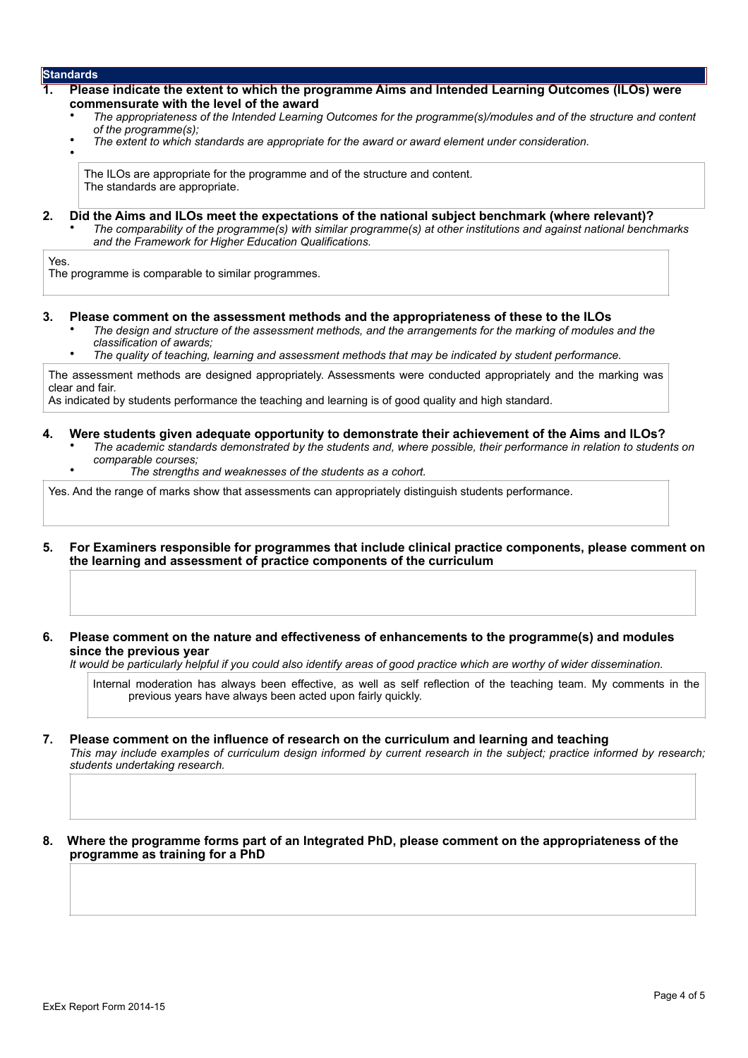•

#### **1. Please indicate the extent to which the programme Aims and Intended Learning Outcomes (ILOs) were commensurate with the level of the award**

- *The appropriateness of the Intended Learning Outcomes for the programme(s)/modules and of the structure and content of the programme(s);*
- *The extent to which standards are appropriate for the award or award element under consideration.*

The ILOs are appropriate for the programme and of the structure and content. The standards are appropriate.

#### **2. Did the Aims and ILOs meet the expectations of the national subject benchmark (where relevant)?**

• *The comparability of the programme(s) with similar programme(s) at other institutions and against national benchmarks and the Framework for Higher Education Qualifications.* 

Yes.

The programme is comparable to similar programmes.

- **3. Please comment on the assessment methods and the appropriateness of these to the ILOs**
	- *The design and structure of the assessment methods, and the arrangements for the marking of modules and the classification of awards;*
	- *The quality of teaching, learning and assessment methods that may be indicated by student performance.*

The assessment methods are designed appropriately. Assessments were conducted appropriately and the marking was clear and fair.

As indicated by students performance the teaching and learning is of good quality and high standard.

#### **4. Were students given adequate opportunity to demonstrate their achievement of the Aims and ILOs?**

- *The academic standards demonstrated by the students and, where possible, their performance in relation to students on comparable courses;* 
	- *The strengths and weaknesses of the students as a cohort.*

Yes. And the range of marks show that assessments can appropriately distinguish students performance.

- **5. For Examiners responsible for programmes that include clinical practice components, please comment on the learning and assessment of practice components of the curriculum**
- **6. Please comment on the nature and effectiveness of enhancements to the programme(s) and modules since the previous year**

*It would be particularly helpful if you could also identify areas of good practice which are worthy of wider dissemination.* 

Internal moderation has always been effective, as well as self reflection of the teaching team. My comments in the previous years have always been acted upon fairly quickly.

#### **7. Please comment on the influence of research on the curriculum and learning and teaching**  *This may include examples of curriculum design informed by current research in the subject; practice informed by research; students undertaking research.*

**8. Where the programme forms part of an Integrated PhD, please comment on the appropriateness of the programme as training for a PhD**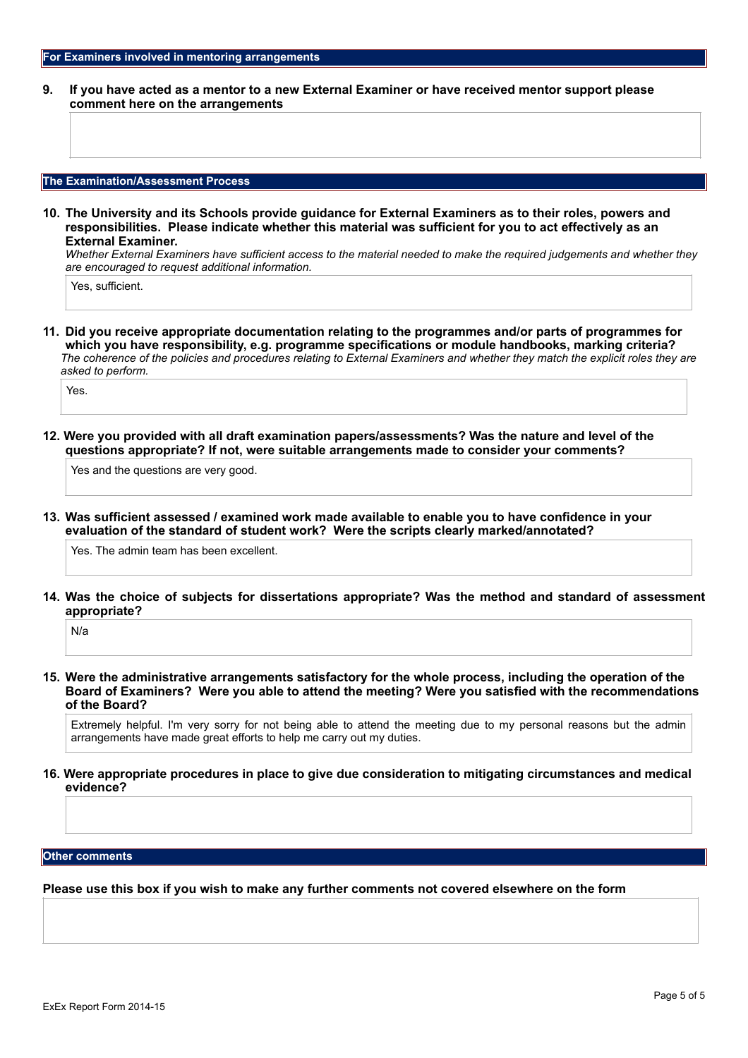**9. If you have acted as a mentor to a new External Examiner or have received mentor support please comment here on the arrangements**

#### **The Examination/Assessment Process**

**10. The University and its Schools provide guidance for External Examiners as to their roles, powers and responsibilities. Please indicate whether this material was sufficient for you to act effectively as an External Examiner.**

*Whether External Examiners have sufficient access to the material needed to make the required judgements and whether they are encouraged to request additional information.*

Yes, sufficient.

**11. Did you receive appropriate documentation relating to the programmes and/or parts of programmes for which you have responsibility, e.g. programme specifications or module handbooks, marking criteria?** *The coherence of the policies and procedures relating to External Examiners and whether they match the explicit roles they are asked to perform.* 

Yes.

**12. Were you provided with all draft examination papers/assessments? Was the nature and level of the questions appropriate? If not, were suitable arrangements made to consider your comments?**

Yes and the questions are very good.

**13. Was sufficient assessed / examined work made available to enable you to have confidence in your evaluation of the standard of student work? Were the scripts clearly marked/annotated?** 

Yes. The admin team has been excellent.

**14. Was the choice of subjects for dissertations appropriate? Was the method and standard of assessment appropriate?**

N/a

**15. Were the administrative arrangements satisfactory for the whole process, including the operation of the Board of Examiners? Were you able to attend the meeting? Were you satisfied with the recommendations of the Board?**

Extremely helpful. I'm very sorry for not being able to attend the meeting due to my personal reasons but the admin arrangements have made great efforts to help me carry out my duties.

**16. Were appropriate procedures in place to give due consideration to mitigating circumstances and medical evidence?**

#### **Other comments**

**Please use this box if you wish to make any further comments not covered elsewhere on the form**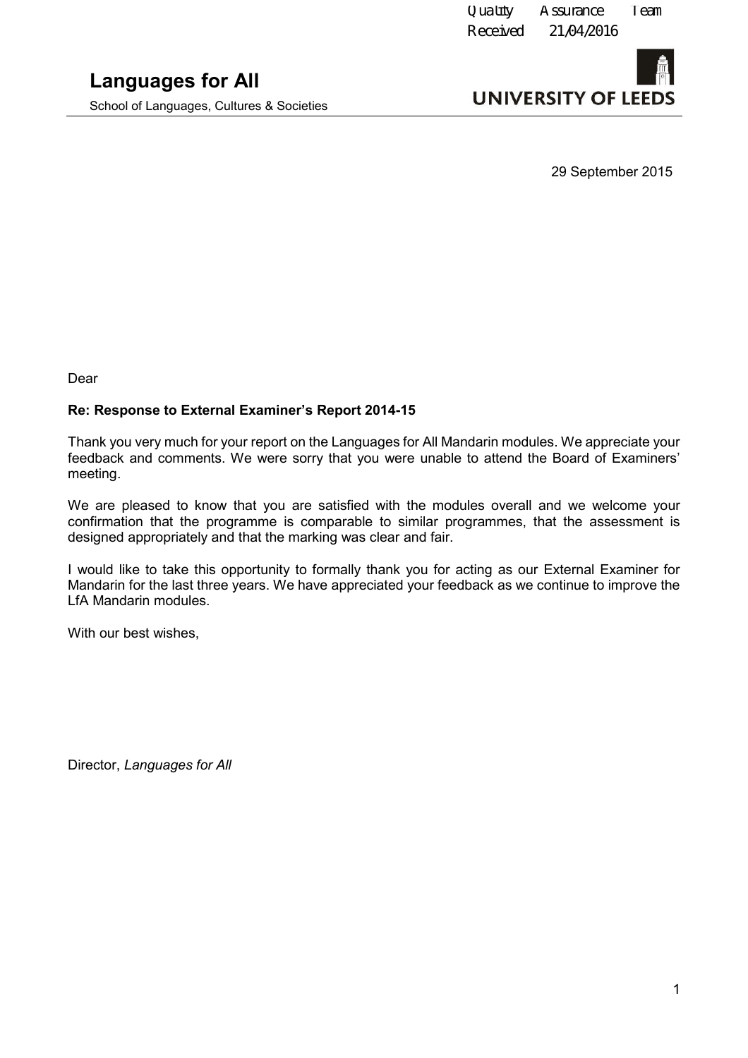School of Languages, Cultures & Societies



29 September 2015

Dear

#### **Re: Response to External Examiner's Report 2014-15**

Thank you very much for your report on the Languages for All Mandarin modules. We appreciate your feedback and comments. We were sorry that you were unable to attend the Board of Examiners' meeting.

We are pleased to know that you are satisfied with the modules overall and we welcome your confirmation that the programme is comparable to similar programmes, that the assessment is designed appropriately and that the marking was clear and fair.

I would like to take this opportunity to formally thank you for acting as our External Examiner for Mandarin for the last three years. We have appreciated your feedback as we continue to improve the LfA Mandarin modules.

With our best wishes,

Director, *Languages for All*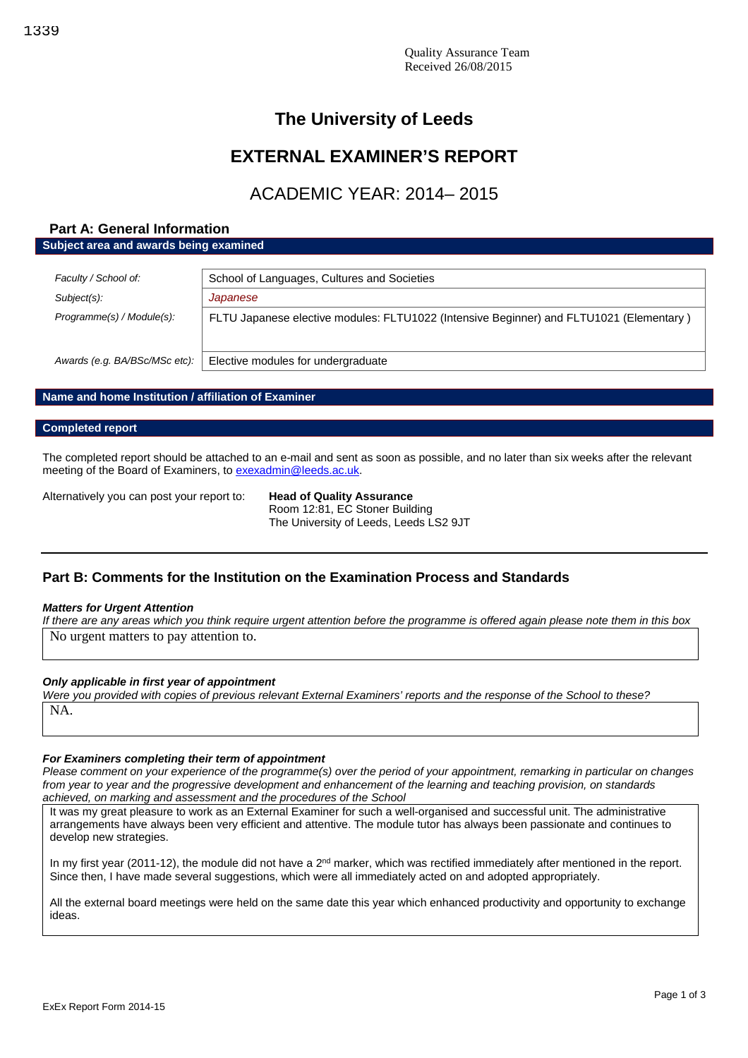## **EXTERNAL EXAMINER'S REPORT**

## ACADEMIC YEAR: 2014– 2015

#### **Part A: General Information**

**Subject area and awards being examined**

| Faculty / School of:          | School of Languages, Cultures and Societies                                             |
|-------------------------------|-----------------------------------------------------------------------------------------|
| Subject(s):                   | Japanese                                                                                |
| Programme(s) / Module(s):     | FLTU Japanese elective modules: FLTU1022 (Intensive Beginner) and FLTU1021 (Elementary) |
| Awards (e.g. BA/BSc/MSc etc): | Elective modules for undergraduate                                                      |

#### **Name and home Institution / affiliation of Examiner**

#### **Completed report**

The completed report should be attached to an e-mail and sent as soon as possible, and no later than six weeks after the relevant meeting of the Board of Examiners, to [exexadmin@leeds.ac.uk.](mailto:exexadmin@leeds.ac.uk)

Alternatively you can post your report to: **Head of Quality Assurance**

Room 12:81, EC Stoner Building The University of Leeds, Leeds LS2 9JT

#### **Part B: Comments for the Institution on the Examination Process and Standards**

#### *Matters for Urgent Attention*

*If there are any areas which you think require urgent attention before the programme is offered again please note them in this box* No urgent matters to pay attention to.

#### *Only applicable in first year of appointment*

*Were you provided with copies of previous relevant External Examiners' reports and the response of the School to these?* NA.

#### *For Examiners completing their term of appointment*

*Please comment on your experience of the programme(s) over the period of your appointment, remarking in particular on changes from year to year and the progressive development and enhancement of the learning and teaching provision, on standards achieved, on marking and assessment and the procedures of the School*

It was my great pleasure to work as an External Examiner for such a well-organised and successful unit. The administrative arrangements have always been very efficient and attentive. The module tutor has always been passionate and continues to develop new strategies.

In my first year (2011-12), the module did not have a  $2<sup>nd</sup>$  marker, which was rectified immediately after mentioned in the report. Since then, I have made several suggestions, which were all immediately acted on and adopted appropriately.

All the external board meetings were held on the same date this year which enhanced productivity and opportunity to exchange ideas.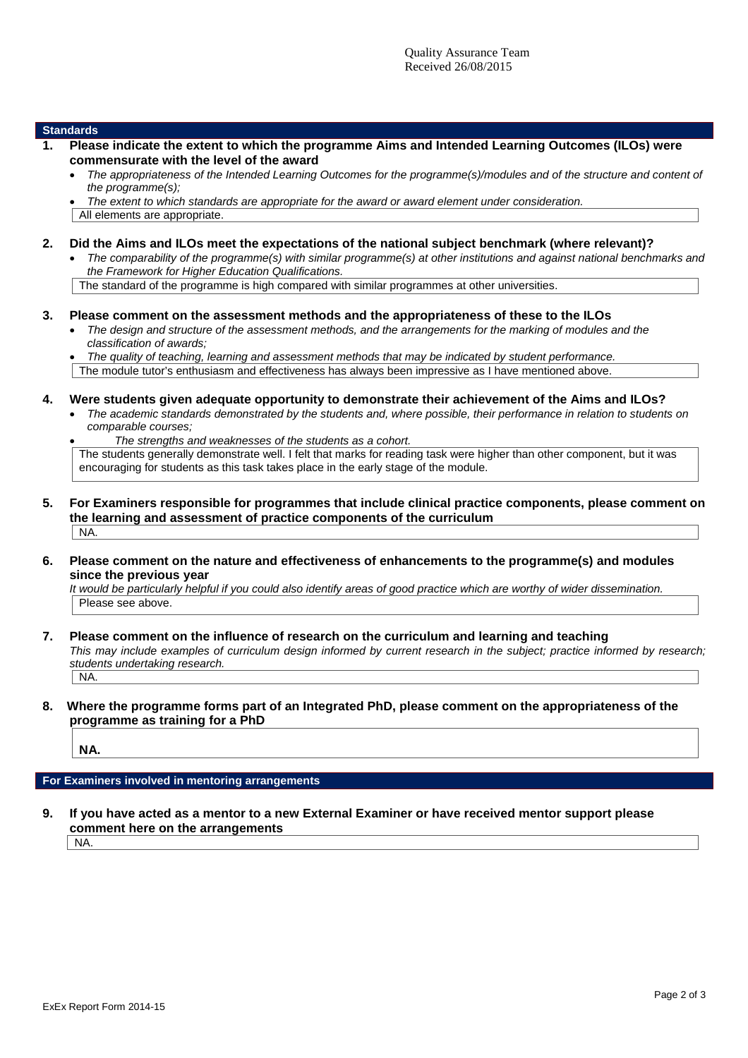#### **Standards**

- **1. Please indicate the extent to which the programme Aims and Intended Learning Outcomes (ILOs) were commensurate with the level of the award**
	- *The appropriateness of the Intended Learning Outcomes for the programme(s)/modules and of the structure and content of the programme(s);*

*The extent to which standards are appropriate for the award or award element under consideration.*

All elements are appropriate.

- **2. Did the Aims and ILOs meet the expectations of the national subject benchmark (where relevant)?**
	- *The comparability of the programme(s) with similar programme(s) at other institutions and against national benchmarks and the Framework for Higher Education Qualifications.*

The standard of the programme is high compared with similar programmes at other universities.

- **3. Please comment on the assessment methods and the appropriateness of these to the ILOs**
	- *The design and structure of the assessment methods, and the arrangements for the marking of modules and the classification of awards;*
	- *The quality of teaching, learning and assessment methods that may be indicated by student performance.* The module tutor's enthusiasm and effectiveness has always been impressive as I have mentioned above.
- **4. Were students given adequate opportunity to demonstrate their achievement of the Aims and ILOs?**
	- *The academic standards demonstrated by the students and, where possible, their performance in relation to students on comparable courses;*

 *The strengths and weaknesses of the students as a cohort.* The students generally demonstrate well. I felt that marks for reading task were higher than other component, but it was encouraging for students as this task takes place in the early stage of the module.

- **5. For Examiners responsible for programmes that include clinical practice components, please comment on the learning and assessment of practice components of the curriculum** NA.
- **6. Please comment on the nature and effectiveness of enhancements to the programme(s) and modules since the previous year**

*It would be particularly helpful if you could also identify areas of good practice which are worthy of wider dissemination.* Please see above.

**7. Please comment on the influence of research on the curriculum and learning and teaching**

*This may include examples of curriculum design informed by current research in the subject; practice informed by research; students undertaking research.* NA.

#### **8. Where the programme forms part of an Integrated PhD, please comment on the appropriateness of the programme as training for a PhD**

**NA.**

#### **For Examiners involved in mentoring arrangements**

**9. If you have acted as a mentor to a new External Examiner or have received mentor support please comment here on the arrangements**

 $|NA$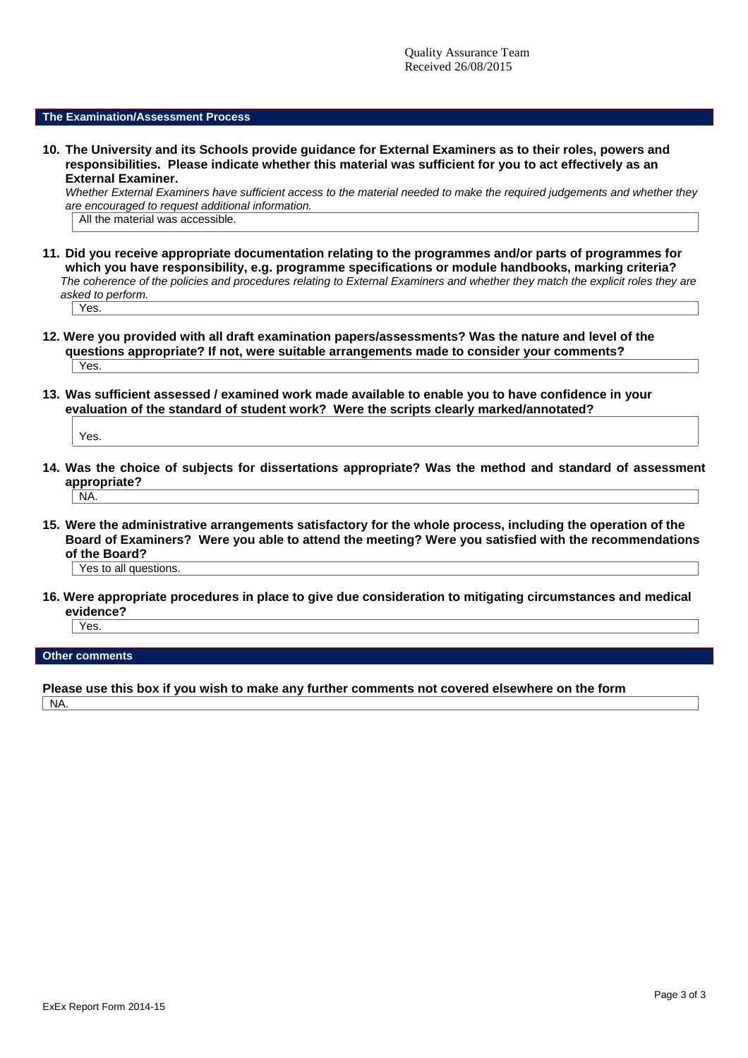#### **The Examination/Assessment Process**

**10. The University and its Schools provide guidance for External Examiners as to their roles, powers and responsibilities. Please indicate whether this material was sufficient for you to act effectively as an External Examiner.**

*Whether External Examiners have sufficient access to the material needed to make the required judgements and whether they are encouraged to request additional information.*

All the material was accessible.

- **11. Did you receive appropriate documentation relating to the programmes and/or parts of programmes for which you have responsibility, e.g. programme specifications or module handbooks, marking criteria?** *The coherence of the policies and procedures relating to External Examiners and whether they match the explicit roles they are asked to perform.* Yes.
- **12. Were you provided with all draft examination papers/assessments? Was the nature and level of the questions appropriate? If not, were suitable arrangements made to consider your comments?** Yes.
- **13. Was sufficient assessed / examined work made available to enable you to have confidence in your evaluation of the standard of student work? Were the scripts clearly marked/annotated?**

Yes.

**14. Was the choice of subjects for dissertations appropriate? Was the method and standard of assessment appropriate?**

```
NA.
```
**15. Were the administrative arrangements satisfactory for the whole process, including the operation of the Board of Examiners? Were you able to attend the meeting? Were you satisfied with the recommendations of the Board?**

Yes to all questions.

**16. Were appropriate procedures in place to give due consideration to mitigating circumstances and medical evidence?**

Yes.

**Other comments**

**Please use this box if you wish to make any further comments not covered elsewhere on the form**

NA.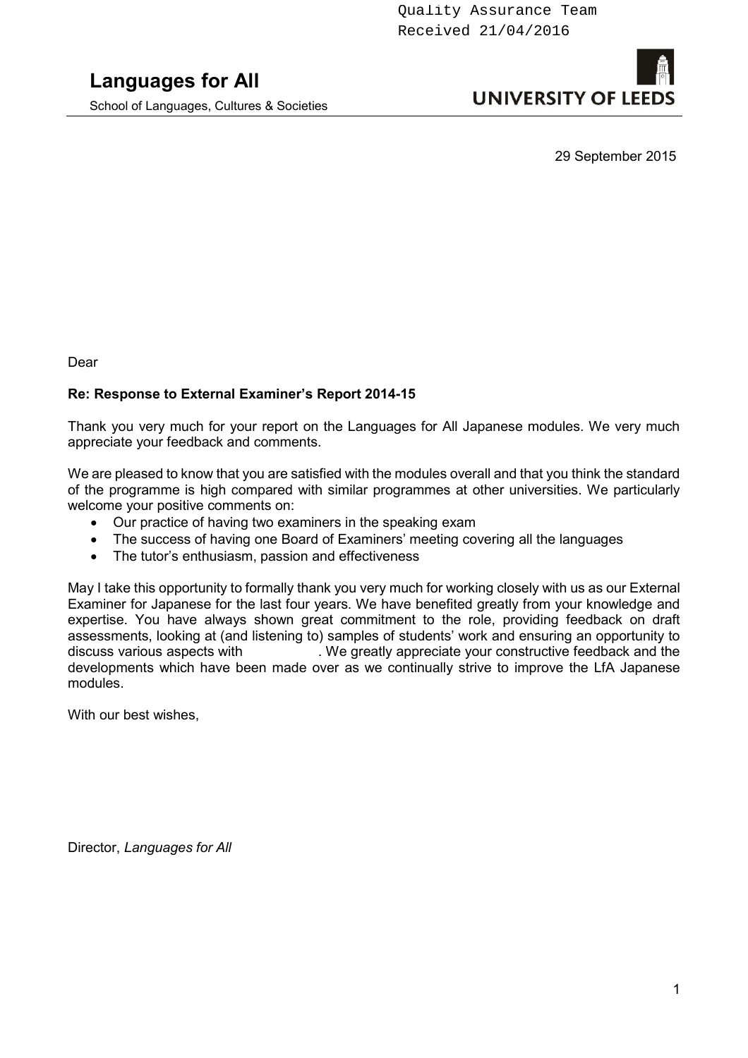School of Languages, Cultures & Societies

# **UNIVERSITY OF LEED**

29 September 2015

Dear

#### **Re: Response to External Examiner's Report 2014-15**

Thank you very much for your report on the Languages for All Japanese modules. We very much appreciate your feedback and comments.

We are pleased to know that you are satisfied with the modules overall and that you think the standard of the programme is high compared with similar programmes at other universities. We particularly welcome your positive comments on:

- Our practice of having two examiners in the speaking exam
- The success of having one Board of Examiners' meeting covering all the languages
- The tutor's enthusiasm, passion and effectiveness

May I take this opportunity to formally thank you very much for working closely with us as our External Examiner for Japanese for the last four years. We have benefited greatly from your knowledge and expertise. You have always shown great commitment to the role, providing feedback on draft assessments, looking at (and listening to) samples of students' work and ensuring an opportunity to discuss various aspects with . We greatly appreciate your constructive feedback and the developments which have been made over as we continually strive to improve the LfA Japanese modules.

With our best wishes,

Director, *Languages for All*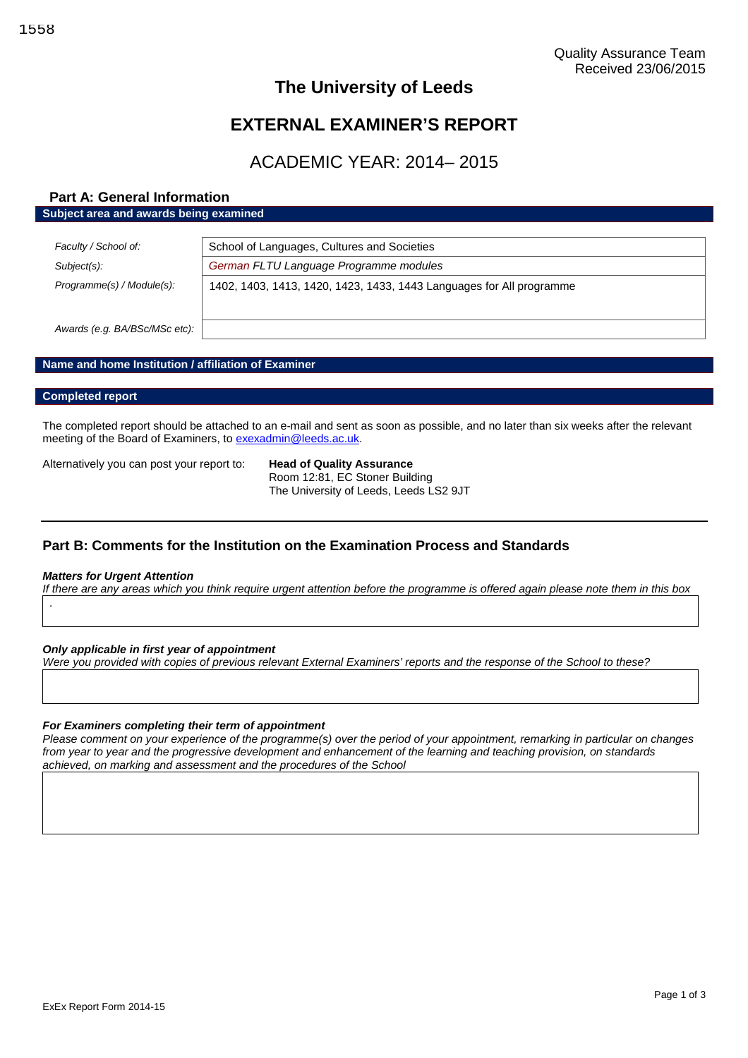## **EXTERNAL EXAMINER'S REPORT**

## ACADEMIC YEAR: 2014– 2015

#### **Part A: General Information Subject area and awards being examined**

| Faculty / School of:          | School of Languages, Cultures and Societies                          |  |
|-------------------------------|----------------------------------------------------------------------|--|
| Subject(s):                   | German FLTU Language Programme modules                               |  |
| Programme(s) / Module(s):     | 1402, 1403, 1413, 1420, 1423, 1433, 1443 Languages for All programme |  |
| Awards (e.g. BA/BSc/MSc etc): |                                                                      |  |

#### **Name and home Institution / affiliation of Examiner**

#### **Completed report**

The completed report should be attached to an e-mail and sent as soon as possible, and no later than six weeks after the relevant meeting of the Board of Examiners, to [exexadmin@leeds.ac.uk.](mailto:exexadmin@leeds.ac.uk)

Alternatively you can post your report to: **Head of Quality Assurance**

Room 12:81, EC Stoner Building The University of Leeds, Leeds LS2 9JT

#### **Part B: Comments for the Institution on the Examination Process and Standards**

#### *Matters for Urgent Attention*

*.*

*If there are any areas which you think require urgent attention before the programme is offered again please note them in this box*

*Only applicable in first year of appointment*

*Were you provided with copies of previous relevant External Examiners' reports and the response of the School to these?*

#### *For Examiners completing their term of appointment*

*Please comment on your experience of the programme(s) over the period of your appointment, remarking in particular on changes from year to year and the progressive development and enhancement of the learning and teaching provision, on standards achieved, on marking and assessment and the procedures of the School*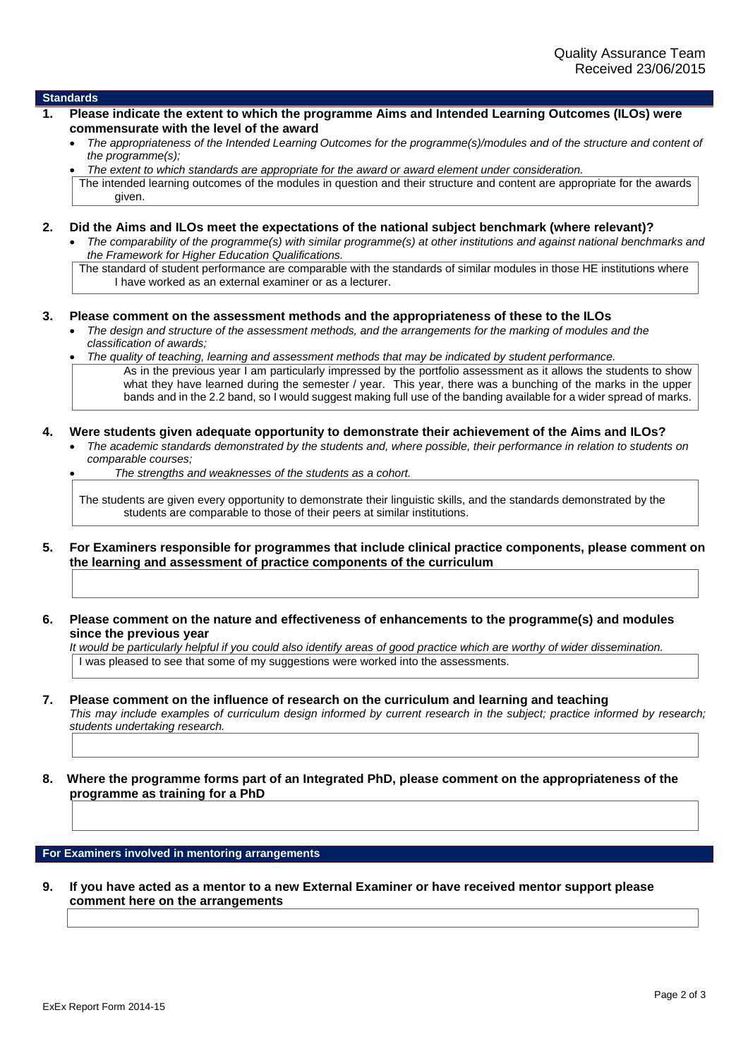#### **Standards**

- **1. Please indicate the extent to which the programme Aims and Intended Learning Outcomes (ILOs) were commensurate with the level of the award**
	- *The appropriateness of the Intended Learning Outcomes for the programme(s)/modules and of the structure and content of the programme(s);*
	- *The extent to which standards are appropriate for the award or award element under consideration.*

The intended learning outcomes of the modules in question and their structure and content are appropriate for the awards given.

**2. Did the Aims and ILOs meet the expectations of the national subject benchmark (where relevant)?**

 *The comparability of the programme(s) with similar programme(s) at other institutions and against national benchmarks and the Framework for Higher Education Qualifications.*

The standard of student performance are comparable with the standards of similar modules in those HE institutions where I have worked as an external examiner or as a lecturer.

#### **3. Please comment on the assessment methods and the appropriateness of these to the ILOs**

- *The design and structure of the assessment methods, and the arrangements for the marking of modules and the classification of awards;*
- *The quality of teaching, learning and assessment methods that may be indicated by student performance.* As in the previous year I am particularly impressed by the portfolio assessment as it allows the students to show what they have learned during the semester / year. This year, there was a bunching of the marks in the upper bands and in the 2.2 band, so I would suggest making full use of the banding available for a wider spread of marks.

#### **4. Were students given adequate opportunity to demonstrate their achievement of the Aims and ILOs?**

- *The academic standards demonstrated by the students and, where possible, their performance in relation to students on comparable courses;*
	- *The strengths and weaknesses of the students as a cohort.*

The students are given every opportunity to demonstrate their linguistic skills, and the standards demonstrated by the students are comparable to those of their peers at similar institutions.

- **5. For Examiners responsible for programmes that include clinical practice components, please comment on the learning and assessment of practice components of the curriculum**
- **6. Please comment on the nature and effectiveness of enhancements to the programme(s) and modules since the previous year**

*It would be particularly helpful if you could also identify areas of good practice which are worthy of wider dissemination.* I was pleased to see that some of my suggestions were worked into the assessments.

#### **7. Please comment on the influence of research on the curriculum and learning and teaching**

*This may include examples of curriculum design informed by current research in the subject; practice informed by research; students undertaking research.*

**8. Where the programme forms part of an Integrated PhD, please comment on the appropriateness of the programme as training for a PhD**

#### **For Examiners involved in mentoring arrangements**

**9. If you have acted as a mentor to a new External Examiner or have received mentor support please comment here on the arrangements**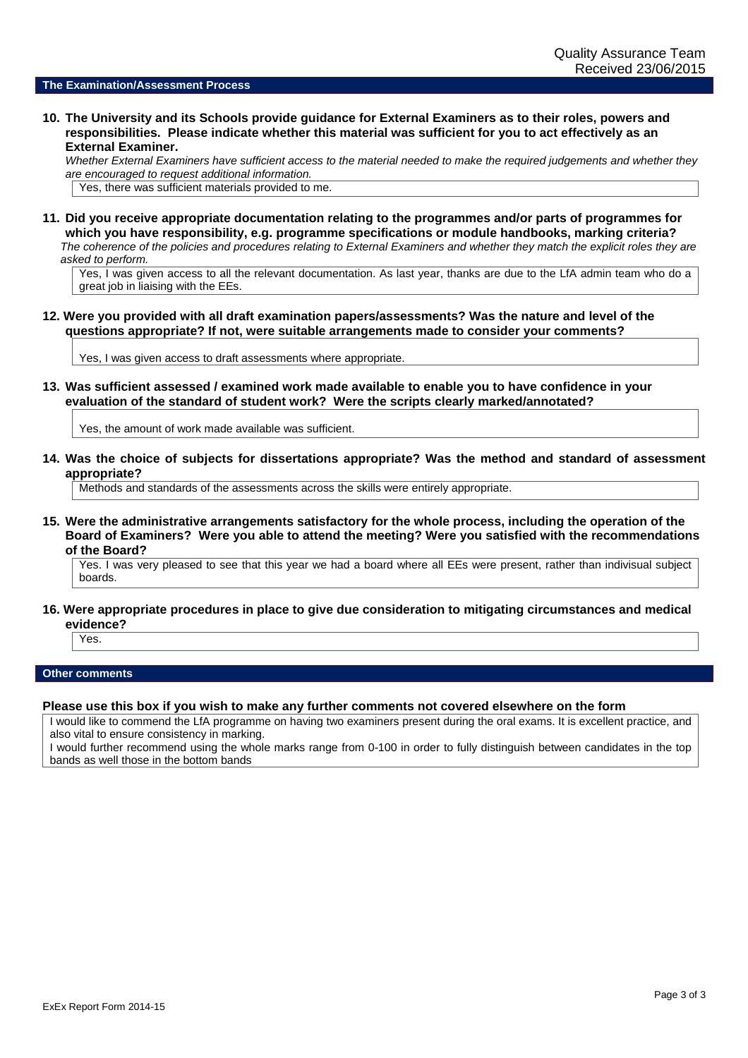#### **The Examination/Assessment Process**

**10. The University and its Schools provide guidance for External Examiners as to their roles, powers and responsibilities. Please indicate whether this material was sufficient for you to act effectively as an External Examiner.**

*Whether External Examiners have sufficient access to the material needed to make the required judgements and whether they are encouraged to request additional information.*

Yes, there was sufficient materials provided to me.

**11. Did you receive appropriate documentation relating to the programmes and/or parts of programmes for which you have responsibility, e.g. programme specifications or module handbooks, marking criteria?** *The coherence of the policies and procedures relating to External Examiners and whether they match the explicit roles they are asked to perform.*

Yes, I was given access to all the relevant documentation. As last year, thanks are due to the LfA admin team who do a great job in liaising with the EEs.

**12. Were you provided with all draft examination papers/assessments? Was the nature and level of the questions appropriate? If not, were suitable arrangements made to consider your comments?**

Yes, I was given access to draft assessments where appropriate.

**13. Was sufficient assessed / examined work made available to enable you to have confidence in your evaluation of the standard of student work? Were the scripts clearly marked/annotated?**

Yes, the amount of work made available was sufficient.

**14. Was the choice of subjects for dissertations appropriate? Was the method and standard of assessment appropriate?**

Methods and standards of the assessments across the skills were entirely appropriate.

**15. Were the administrative arrangements satisfactory for the whole process, including the operation of the Board of Examiners? Were you able to attend the meeting? Were you satisfied with the recommendations of the Board?**

Yes. I was very pleased to see that this year we had a board where all EEs were present, rather than indivisual subject boards.

**16. Were appropriate procedures in place to give due consideration to mitigating circumstances and medical evidence?**

Yes.

#### **Other comments**

#### **Please use this box if you wish to make any further comments not covered elsewhere on the form**

I would like to commend the LfA programme on having two examiners present during the oral exams. It is excellent practice, and also vital to ensure consistency in marking.

I would further recommend using the whole marks range from 0-100 in order to fully distinguish between candidates in the top bands as well those in the bottom bands